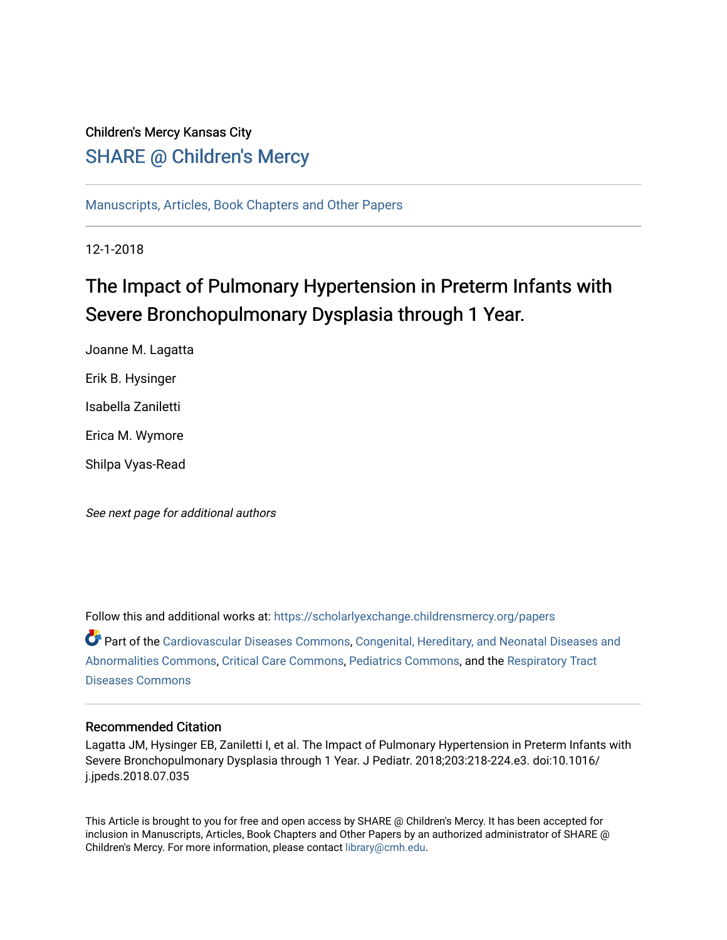# Children's Mercy Kansas City

SHARE @ Children's Mercy

[Manuscripts, Articles, Book Chapters and Other Papers](https://scholarlyexchange.childrensmercy.org/papers)

12-1-2018

# The Impact of Pulmonary Hypertension in Preterm Infants with Severe Bronchopulmonary Dysplasia through 1 Year.

Joanne M. Lagatta Erik B. Hysinger Isabella Zaniletti Erica M. Wymore Shilpa Vyas-Read

See next page for additional authors

Follow this and additional works at: [https://scholarlyexchange.childrensmercy.org/papers](https://scholarlyexchange.childrensmercy.org/papers?utm_source=scholarlyexchange.childrensmercy.org%2Fpapers%2F1343&utm_medium=PDF&utm_campaign=PDFCoverPages)  Part of the [Cardiovascular Diseases Commons](http://network.bepress.com/hgg/discipline/929?utm_source=scholarlyexchange.childrensmercy.org%2Fpapers%2F1343&utm_medium=PDF&utm_campaign=PDFCoverPages), [Congenital, Hereditary, and Neonatal Diseases and](http://network.bepress.com/hgg/discipline/971?utm_source=scholarlyexchange.childrensmercy.org%2Fpapers%2F1343&utm_medium=PDF&utm_campaign=PDFCoverPages)  [Abnormalities Commons,](http://network.bepress.com/hgg/discipline/971?utm_source=scholarlyexchange.childrensmercy.org%2Fpapers%2F1343&utm_medium=PDF&utm_campaign=PDFCoverPages) [Critical Care Commons,](http://network.bepress.com/hgg/discipline/1226?utm_source=scholarlyexchange.childrensmercy.org%2Fpapers%2F1343&utm_medium=PDF&utm_campaign=PDFCoverPages) [Pediatrics Commons](http://network.bepress.com/hgg/discipline/700?utm_source=scholarlyexchange.childrensmercy.org%2Fpapers%2F1343&utm_medium=PDF&utm_campaign=PDFCoverPages), and the [Respiratory Tract](http://network.bepress.com/hgg/discipline/990?utm_source=scholarlyexchange.childrensmercy.org%2Fpapers%2F1343&utm_medium=PDF&utm_campaign=PDFCoverPages)  [Diseases Commons](http://network.bepress.com/hgg/discipline/990?utm_source=scholarlyexchange.childrensmercy.org%2Fpapers%2F1343&utm_medium=PDF&utm_campaign=PDFCoverPages) 

# Recommended Citation

Lagatta JM, Hysinger EB, Zaniletti I, et al. The Impact of Pulmonary Hypertension in Preterm Infants with Severe Bronchopulmonary Dysplasia through 1 Year. J Pediatr. 2018;203:218-224.e3. doi:10.1016/ j.jpeds.2018.07.035

This Article is brought to you for free and open access by SHARE @ Children's Mercy. It has been accepted for inclusion in Manuscripts, Articles, Book Chapters and Other Papers by an authorized administrator of SHARE @ Children's Mercy. For more information, please contact [library@cmh.edu](mailto:library@cmh.edu).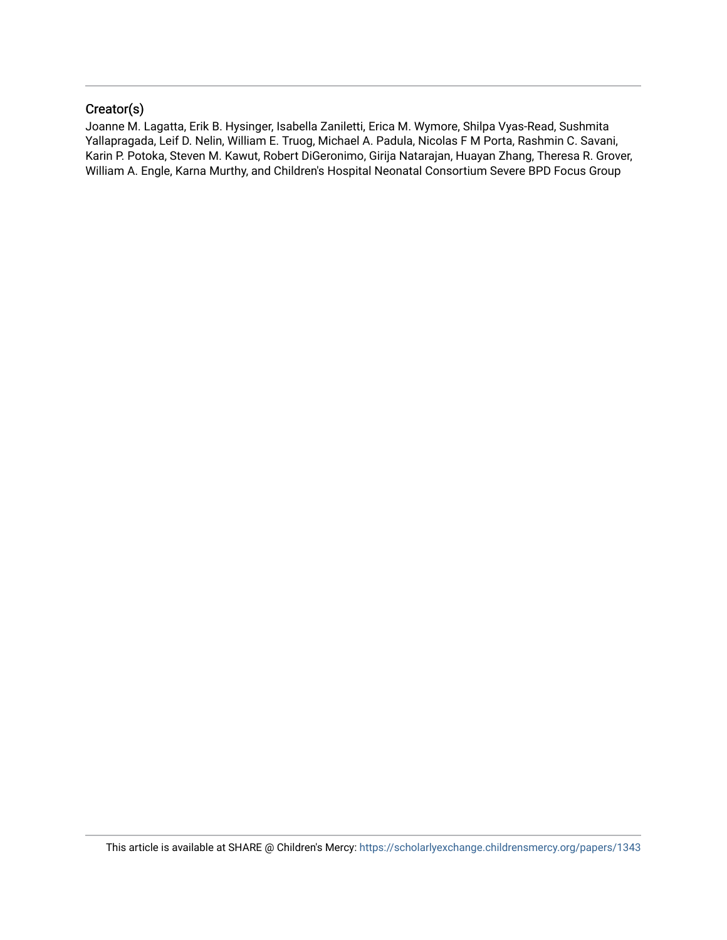# Creator(s)

Joanne M. Lagatta, Erik B. Hysinger, Isabella Zaniletti, Erica M. Wymore, Shilpa Vyas-Read, Sushmita Yallapragada, Leif D. Nelin, William E. Truog, Michael A. Padula, Nicolas F M Porta, Rashmin C. Savani, Karin P. Potoka, Steven M. Kawut, Robert DiGeronimo, Girija Natarajan, Huayan Zhang, Theresa R. Grover, William A. Engle, Karna Murthy, and Children's Hospital Neonatal Consortium Severe BPD Focus Group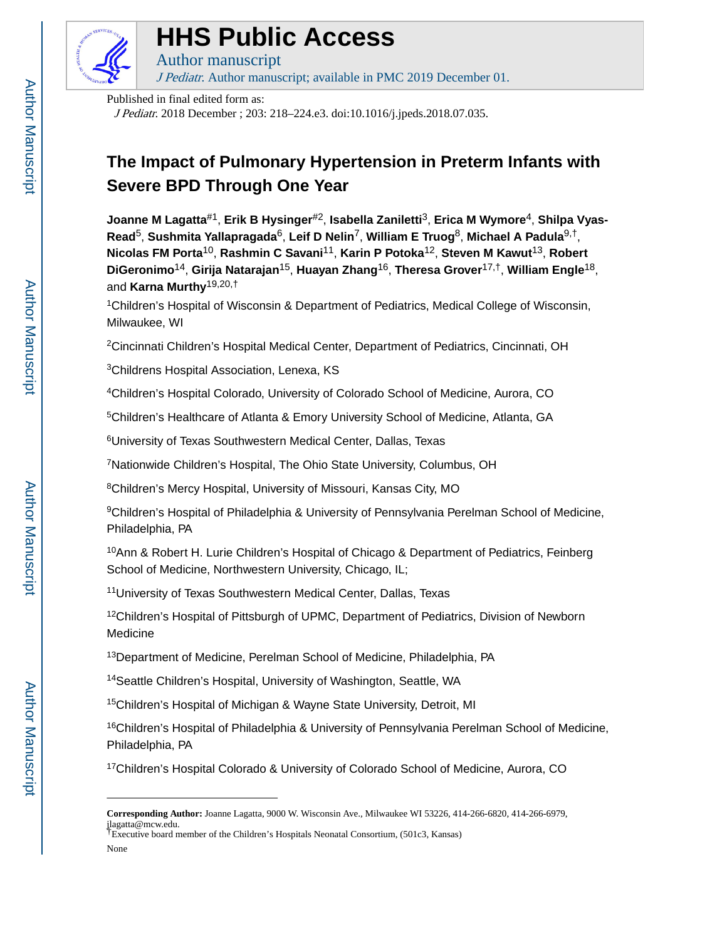

# **HHS Public Access**

Author manuscript J Pediatr. Author manuscript; available in PMC 2019 December 01.

Published in final edited form as:

J Pediatr. 2018 December ; 203: 218–224.e3. doi:10.1016/j.jpeds.2018.07.035.

# **The Impact of Pulmonary Hypertension in Preterm Infants with Severe BPD Through One Year**

**Joanne M Lagatta**#1, **Erik B Hysinger**#2, **Isabella Zaniletti**3, **Erica M Wymore**4, **Shilpa Vyas-Read**5, **Sushmita Yallapragada**6, **Leif D Nelin**7, **William E Truog**8, **Michael A Padula**9,†, **Nicolas FM Porta**10, **Rashmin C Savani**11, **Karin P Potoka**12, **Steven M Kawut**13, **Robert DiGeronimo**14, **Girija Natarajan**15, **Huayan Zhang**16, **Theresa Grover**17,†, **William Engle**18, and **Karna Murthy**19,20,†

<sup>1</sup>Children's Hospital of Wisconsin & Department of Pediatrics, Medical College of Wisconsin, Milwaukee, WI

<sup>2</sup>Cincinnati Children's Hospital Medical Center, Department of Pediatrics, Cincinnati, OH

<sup>3</sup>Childrens Hospital Association, Lenexa, KS

<sup>4</sup>Children's Hospital Colorado, University of Colorado School of Medicine, Aurora, CO

<sup>5</sup>Children's Healthcare of Atlanta & Emory University School of Medicine, Atlanta, GA

<sup>6</sup>University of Texas Southwestern Medical Center, Dallas, Texas

<sup>7</sup>Nationwide Children's Hospital, The Ohio State University, Columbus, OH

<sup>8</sup>Children's Mercy Hospital, University of Missouri, Kansas City, MO

<sup>9</sup>Children's Hospital of Philadelphia & University of Pennsylvania Perelman School of Medicine, Philadelphia, PA

<sup>10</sup>Ann & Robert H. Lurie Children's Hospital of Chicago & Department of Pediatrics, Feinberg School of Medicine, Northwestern University, Chicago, IL;

<sup>11</sup>University of Texas Southwestern Medical Center, Dallas, Texas

<sup>12</sup>Children's Hospital of Pittsburgh of UPMC, Department of Pediatrics, Division of Newborn Medicine

<sup>13</sup>Department of Medicine, Perelman School of Medicine, Philadelphia, PA

<sup>14</sup>Seattle Children's Hospital, University of Washington, Seattle, WA

<sup>15</sup>Children's Hospital of Michigan & Wayne State University, Detroit, MI

<sup>16</sup>Children's Hospital of Philadelphia & University of Pennsylvania Perelman School of Medicine, Philadelphia, PA

<sup>17</sup>Children's Hospital Colorado & University of Colorado School of Medicine, Aurora, CO

None

**Corresponding Author:** Joanne Lagatta, 9000 W. Wisconsin Ave., Milwaukee WI 53226, 414-266-6820, 414-266-6979, jlagatta@mcw.edu. †Executive board member of the Children's Hospitals Neonatal Consortium, (501c3, Kansas)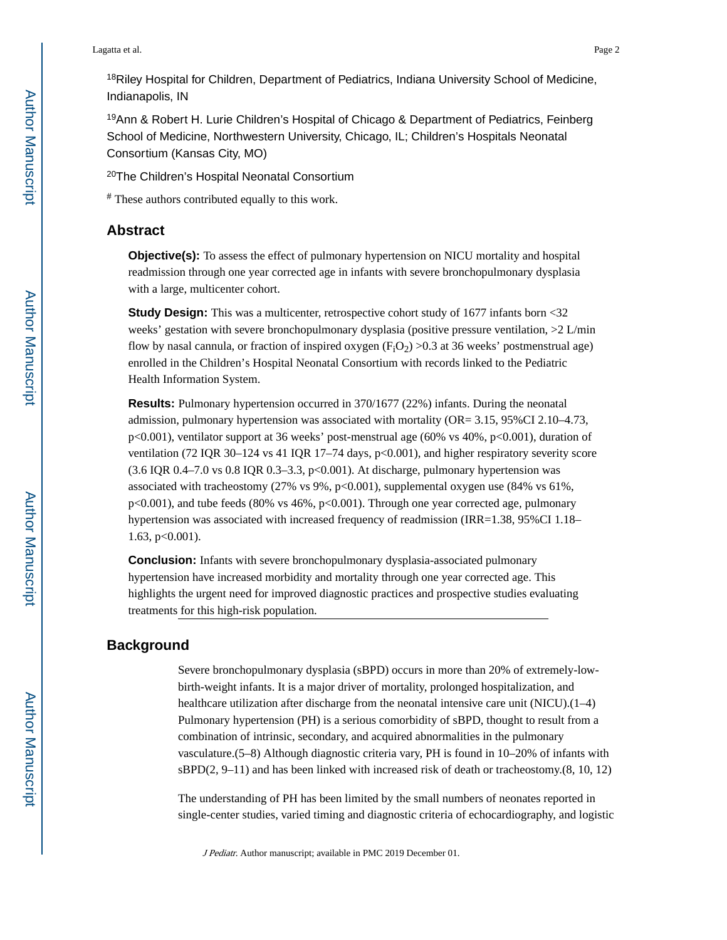<sup>18</sup>Riley Hospital for Children, Department of Pediatrics, Indiana University School of Medicine, Indianapolis, IN

<sup>19</sup>Ann & Robert H. Lurie Children's Hospital of Chicago & Department of Pediatrics, Feinberg School of Medicine, Northwestern University, Chicago, IL; Children's Hospitals Neonatal Consortium (Kansas City, MO)

<sup>20</sup>The Children's Hospital Neonatal Consortium

# These authors contributed equally to this work.

# **Abstract**

**Objective(s):** To assess the effect of pulmonary hypertension on NICU mortality and hospital readmission through one year corrected age in infants with severe bronchopulmonary dysplasia with a large, multicenter cohort.

**Study Design:** This was a multicenter, retrospective cohort study of 1677 infants born <32 weeks' gestation with severe bronchopulmonary dysplasia (positive pressure ventilation, >2 L/min flow by nasal cannula, or fraction of inspired oxygen  $(F_1O_2)$  >0.3 at 36 weeks' postmenstrual age) enrolled in the Children's Hospital Neonatal Consortium with records linked to the Pediatric Health Information System.

**Results:** Pulmonary hypertension occurred in 370/1677 (22%) infants. During the neonatal admission, pulmonary hypertension was associated with mortality (OR= 3.15, 95%CI 2.10–4.73, p<0.001), ventilator support at 36 weeks' post-menstrual age (60% vs 40%, p<0.001), duration of ventilation (72 IQR 30–124 vs 41 IQR 17–74 days, p<0.001), and higher respiratory severity score  $(3.6$  IQR 0.4–7.0 vs 0.8 IQR 0.3–3.3, p<0.001). At discharge, pulmonary hypertension was associated with tracheostomy (27% vs 9%, p<0.001), supplemental oxygen use (84% vs 61%, p<0.001), and tube feeds (80% vs 46%, p<0.001). Through one year corrected age, pulmonary hypertension was associated with increased frequency of readmission (IRR=1.38, 95%CI 1.18– 1.63, p<0.001).

**Conclusion:** Infants with severe bronchopulmonary dysplasia-associated pulmonary hypertension have increased morbidity and mortality through one year corrected age. This highlights the urgent need for improved diagnostic practices and prospective studies evaluating treatments for this high-risk population.

# **Background**

Severe bronchopulmonary dysplasia (sBPD) occurs in more than 20% of extremely-lowbirth-weight infants. It is a major driver of mortality, prolonged hospitalization, and healthcare utilization after discharge from the neonatal intensive care unit (NICU).(1–4) Pulmonary hypertension (PH) is a serious comorbidity of sBPD, thought to result from a combination of intrinsic, secondary, and acquired abnormalities in the pulmonary vasculature.(5–8) Although diagnostic criteria vary, PH is found in 10–20% of infants with sBPD(2, 9–11) and has been linked with increased risk of death or tracheostomy.(8, 10, 12)

The understanding of PH has been limited by the small numbers of neonates reported in single-center studies, varied timing and diagnostic criteria of echocardiography, and logistic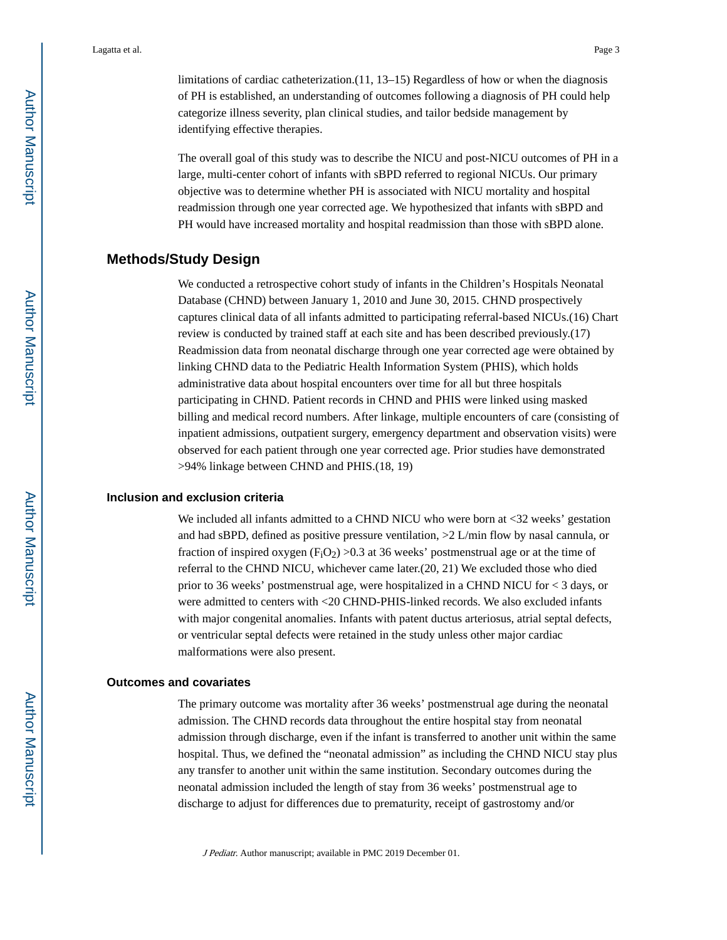limitations of cardiac catheterization.(11, 13–15) Regardless of how or when the diagnosis of PH is established, an understanding of outcomes following a diagnosis of PH could help categorize illness severity, plan clinical studies, and tailor bedside management by identifying effective therapies.

The overall goal of this study was to describe the NICU and post-NICU outcomes of PH in a large, multi-center cohort of infants with sBPD referred to regional NICUs. Our primary objective was to determine whether PH is associated with NICU mortality and hospital readmission through one year corrected age. We hypothesized that infants with sBPD and PH would have increased mortality and hospital readmission than those with sBPD alone.

## **Methods/Study Design**

We conducted a retrospective cohort study of infants in the Children's Hospitals Neonatal Database (CHND) between January 1, 2010 and June 30, 2015. CHND prospectively captures clinical data of all infants admitted to participating referral-based NICUs.(16) Chart review is conducted by trained staff at each site and has been described previously.(17) Readmission data from neonatal discharge through one year corrected age were obtained by linking CHND data to the Pediatric Health Information System (PHIS), which holds administrative data about hospital encounters over time for all but three hospitals participating in CHND. Patient records in CHND and PHIS were linked using masked billing and medical record numbers. After linkage, multiple encounters of care (consisting of inpatient admissions, outpatient surgery, emergency department and observation visits) were observed for each patient through one year corrected age. Prior studies have demonstrated >94% linkage between CHND and PHIS.(18, 19)

### **Inclusion and exclusion criteria**

We included all infants admitted to a CHND NICU who were born at  $\langle 32 \rangle$  weeks' gestation and had sBPD, defined as positive pressure ventilation, >2 L/min flow by nasal cannula, or fraction of inspired oxygen ( $F_iO_2$ ) >0.3 at 36 weeks' postmenstrual age or at the time of referral to the CHND NICU, whichever came later.(20, 21) We excluded those who died prior to 36 weeks' postmenstrual age, were hospitalized in a CHND NICU for < 3 days, or were admitted to centers with <20 CHND-PHIS-linked records. We also excluded infants with major congenital anomalies. Infants with patent ductus arteriosus, atrial septal defects, or ventricular septal defects were retained in the study unless other major cardiac malformations were also present.

#### **Outcomes and covariates**

The primary outcome was mortality after 36 weeks' postmenstrual age during the neonatal admission. The CHND records data throughout the entire hospital stay from neonatal admission through discharge, even if the infant is transferred to another unit within the same hospital. Thus, we defined the "neonatal admission" as including the CHND NICU stay plus any transfer to another unit within the same institution. Secondary outcomes during the neonatal admission included the length of stay from 36 weeks' postmenstrual age to discharge to adjust for differences due to prematurity, receipt of gastrostomy and/or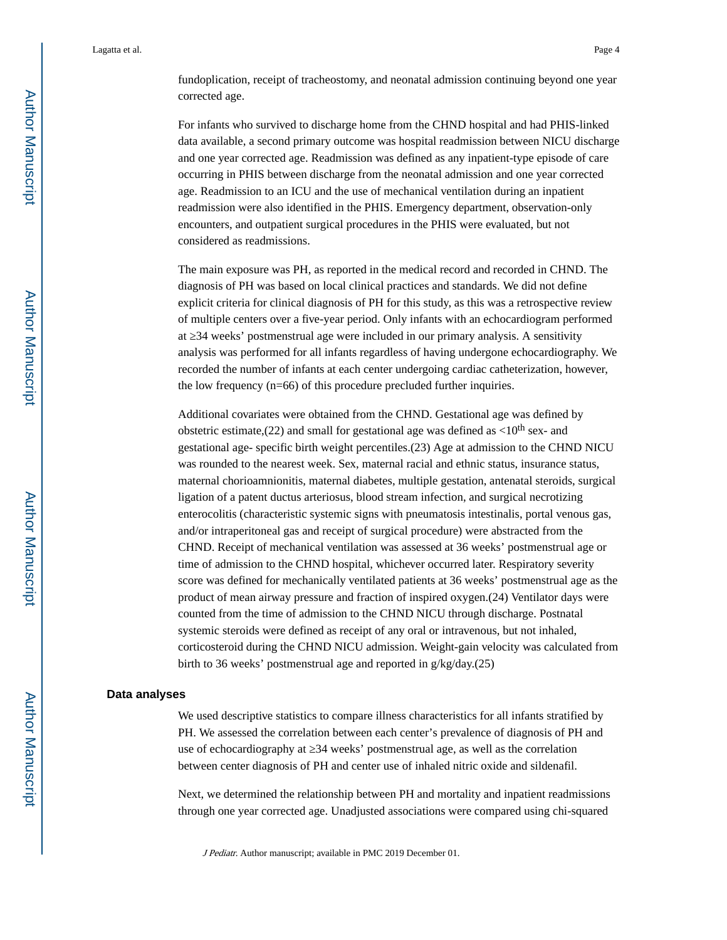fundoplication, receipt of tracheostomy, and neonatal admission continuing beyond one year corrected age.

For infants who survived to discharge home from the CHND hospital and had PHIS-linked data available, a second primary outcome was hospital readmission between NICU discharge and one year corrected age. Readmission was defined as any inpatient-type episode of care occurring in PHIS between discharge from the neonatal admission and one year corrected age. Readmission to an ICU and the use of mechanical ventilation during an inpatient readmission were also identified in the PHIS. Emergency department, observation-only encounters, and outpatient surgical procedures in the PHIS were evaluated, but not considered as readmissions.

The main exposure was PH, as reported in the medical record and recorded in CHND. The diagnosis of PH was based on local clinical practices and standards. We did not define explicit criteria for clinical diagnosis of PH for this study, as this was a retrospective review of multiple centers over a five-year period. Only infants with an echocardiogram performed at 34 weeks' postmenstrual age were included in our primary analysis. A sensitivity analysis was performed for all infants regardless of having undergone echocardiography. We recorded the number of infants at each center undergoing cardiac catheterization, however, the low frequency (n=66) of this procedure precluded further inquiries.

Additional covariates were obtained from the CHND. Gestational age was defined by obstetric estimate,(22) and small for gestational age was defined as  $\langle 10^{th}$  sex- and gestational age- specific birth weight percentiles.(23) Age at admission to the CHND NICU was rounded to the nearest week. Sex, maternal racial and ethnic status, insurance status, maternal chorioamnionitis, maternal diabetes, multiple gestation, antenatal steroids, surgical ligation of a patent ductus arteriosus, blood stream infection, and surgical necrotizing enterocolitis (characteristic systemic signs with pneumatosis intestinalis, portal venous gas, and/or intraperitoneal gas and receipt of surgical procedure) were abstracted from the CHND. Receipt of mechanical ventilation was assessed at 36 weeks' postmenstrual age or time of admission to the CHND hospital, whichever occurred later. Respiratory severity score was defined for mechanically ventilated patients at 36 weeks' postmenstrual age as the product of mean airway pressure and fraction of inspired oxygen.(24) Ventilator days were counted from the time of admission to the CHND NICU through discharge. Postnatal systemic steroids were defined as receipt of any oral or intravenous, but not inhaled, corticosteroid during the CHND NICU admission. Weight-gain velocity was calculated from birth to 36 weeks' postmenstrual age and reported in g/kg/day.(25)

#### **Data analyses**

We used descriptive statistics to compare illness characteristics for all infants stratified by PH. We assessed the correlation between each center's prevalence of diagnosis of PH and use of echocardiography at  $34$  weeks' postmenstrual age, as well as the correlation between center diagnosis of PH and center use of inhaled nitric oxide and sildenafil.

Next, we determined the relationship between PH and mortality and inpatient readmissions through one year corrected age. Unadjusted associations were compared using chi-squared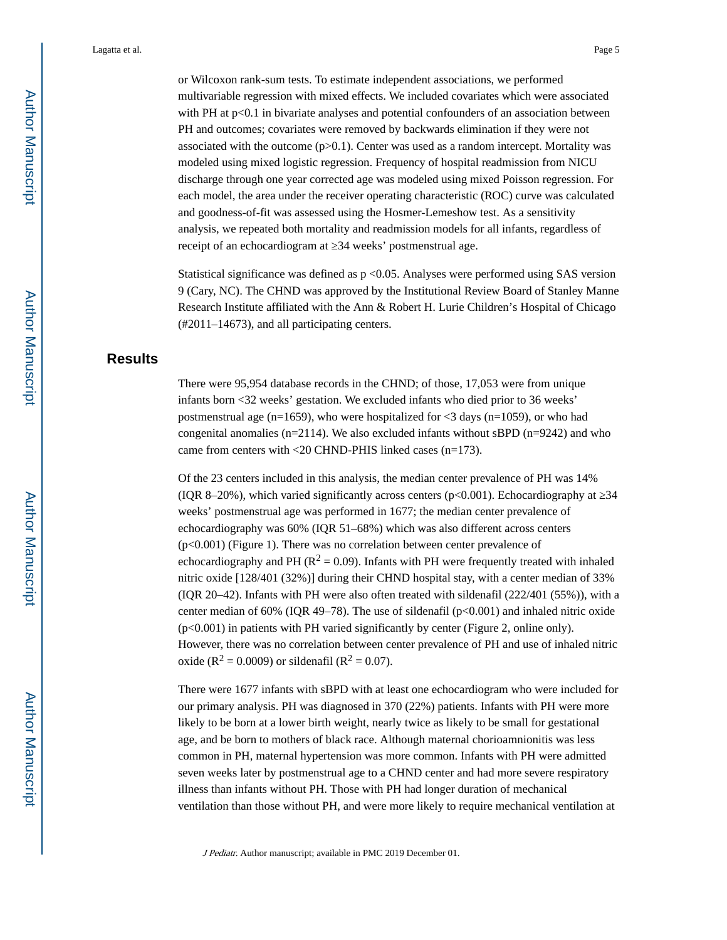or Wilcoxon rank-sum tests. To estimate independent associations, we performed multivariable regression with mixed effects. We included covariates which were associated with PH at  $p<0.1$  in bivariate analyses and potential confounders of an association between PH and outcomes; covariates were removed by backwards elimination if they were not associated with the outcome  $(p>0.1)$ . Center was used as a random intercept. Mortality was modeled using mixed logistic regression. Frequency of hospital readmission from NICU discharge through one year corrected age was modeled using mixed Poisson regression. For each model, the area under the receiver operating characteristic (ROC) curve was calculated and goodness-of-fit was assessed using the Hosmer-Lemeshow test. As a sensitivity analysis, we repeated both mortality and readmission models for all infants, regardless of receipt of an echocardiogram at  $34$  weeks' postmenstrual age.

Statistical significance was defined as  $p \le 0.05$ . Analyses were performed using SAS version 9 (Cary, NC). The CHND was approved by the Institutional Review Board of Stanley Manne Research Institute affiliated with the Ann & Robert H. Lurie Children's Hospital of Chicago (#2011–14673), and all participating centers.

# **Results**

There were 95,954 database records in the CHND; of those, 17,053 were from unique infants born <32 weeks' gestation. We excluded infants who died prior to 36 weeks' postmenstrual age (n=1659), who were hospitalized for  $\langle 3 \rangle$  days (n=1059), or who had congenital anomalies ( $n=2114$ ). We also excluded infants without sBPD ( $n=9242$ ) and who came from centers with <20 CHND-PHIS linked cases (n=173).

Of the 23 centers included in this analysis, the median center prevalence of PH was 14% (IQR 8–20%), which varied significantly across centers ( $p<0.001$ ). Echocardiography at 24 weeks' postmenstrual age was performed in 1677; the median center prevalence of echocardiography was 60% (IQR 51–68%) which was also different across centers (p<0.001) (Figure 1). There was no correlation between center prevalence of echocardiography and PH ( $R^2 = 0.09$ ). Infants with PH were frequently treated with inhaled nitric oxide [128/401 (32%)] during their CHND hospital stay, with a center median of 33% (IQR 20–42). Infants with PH were also often treated with sildenafil (222/401 (55%)), with a center median of 60% (IQR 49–78). The use of sildenafil  $(p<0.001)$  and inhaled nitric oxide (p<0.001) in patients with PH varied significantly by center (Figure 2, online only). However, there was no correlation between center prevalence of PH and use of inhaled nitric oxide ( $R^2 = 0.0009$ ) or sildenafil ( $R^2 = 0.07$ ).

There were 1677 infants with sBPD with at least one echocardiogram who were included for our primary analysis. PH was diagnosed in 370 (22%) patients. Infants with PH were more likely to be born at a lower birth weight, nearly twice as likely to be small for gestational age, and be born to mothers of black race. Although maternal chorioamnionitis was less common in PH, maternal hypertension was more common. Infants with PH were admitted seven weeks later by postmenstrual age to a CHND center and had more severe respiratory illness than infants without PH. Those with PH had longer duration of mechanical ventilation than those without PH, and were more likely to require mechanical ventilation at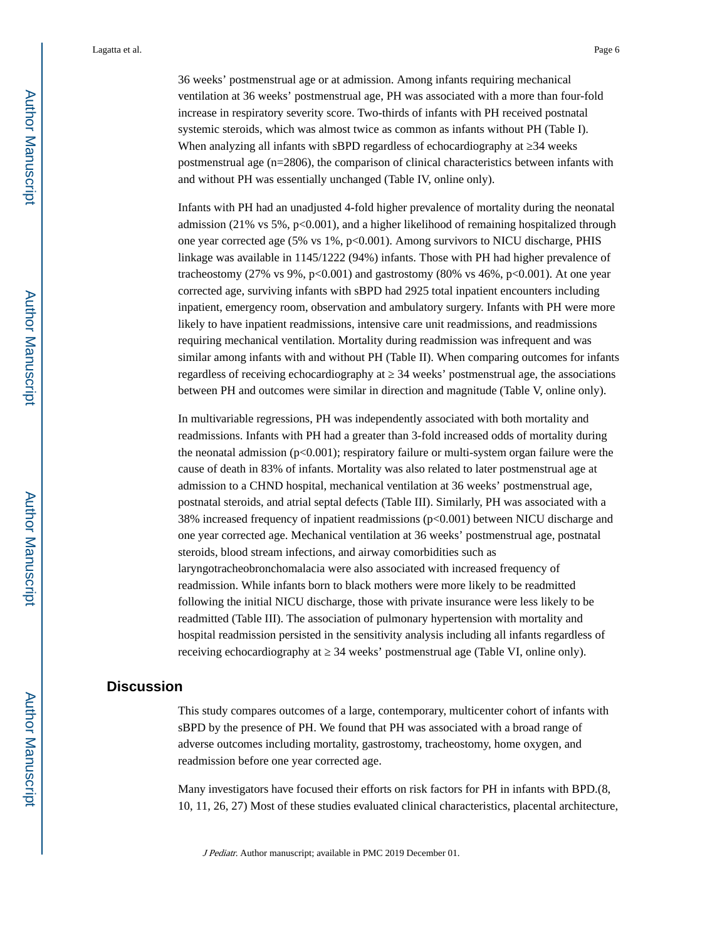36 weeks' postmenstrual age or at admission. Among infants requiring mechanical ventilation at 36 weeks' postmenstrual age, PH was associated with a more than four-fold increase in respiratory severity score. Two-thirds of infants with PH received postnatal systemic steroids, which was almost twice as common as infants without PH (Table I). When analyzing all infants with sBPD regardless of echocardiography at 24 weeks postmenstrual age (n=2806), the comparison of clinical characteristics between infants with and without PH was essentially unchanged (Table IV, online only).

Infants with PH had an unadjusted 4-fold higher prevalence of mortality during the neonatal admission (21% vs 5%,  $p<0.001$ ), and a higher likelihood of remaining hospitalized through one year corrected age (5% vs 1%, p<0.001). Among survivors to NICU discharge, PHIS linkage was available in 1145/1222 (94%) infants. Those with PH had higher prevalence of tracheostomy (27% vs 9%, p<0.001) and gastrostomy (80% vs 46%, p<0.001). At one year corrected age, surviving infants with sBPD had 2925 total inpatient encounters including inpatient, emergency room, observation and ambulatory surgery. Infants with PH were more likely to have inpatient readmissions, intensive care unit readmissions, and readmissions requiring mechanical ventilation. Mortality during readmission was infrequent and was similar among infants with and without PH (Table II). When comparing outcomes for infants regardless of receiving echocardiography at  $\,$  34 weeks' postmenstrual age, the associations between PH and outcomes were similar in direction and magnitude (Table V, online only).

In multivariable regressions, PH was independently associated with both mortality and readmissions. Infants with PH had a greater than 3-fold increased odds of mortality during the neonatal admission  $(p<0.001)$ ; respiratory failure or multi-system organ failure were the cause of death in 83% of infants. Mortality was also related to later postmenstrual age at admission to a CHND hospital, mechanical ventilation at 36 weeks' postmenstrual age, postnatal steroids, and atrial septal defects (Table III). Similarly, PH was associated with a 38% increased frequency of inpatient readmissions  $(p<0.001)$  between NICU discharge and one year corrected age. Mechanical ventilation at 36 weeks' postmenstrual age, postnatal steroids, blood stream infections, and airway comorbidities such as laryngotracheobronchomalacia were also associated with increased frequency of readmission. While infants born to black mothers were more likely to be readmitted following the initial NICU discharge, those with private insurance were less likely to be readmitted (Table III). The association of pulmonary hypertension with mortality and hospital readmission persisted in the sensitivity analysis including all infants regardless of receiving echocardiography at 24 weeks' postmenstrual age (Table VI, online only).

# **Discussion**

This study compares outcomes of a large, contemporary, multicenter cohort of infants with sBPD by the presence of PH. We found that PH was associated with a broad range of adverse outcomes including mortality, gastrostomy, tracheostomy, home oxygen, and readmission before one year corrected age.

Many investigators have focused their efforts on risk factors for PH in infants with BPD.(8, 10, 11, 26, 27) Most of these studies evaluated clinical characteristics, placental architecture,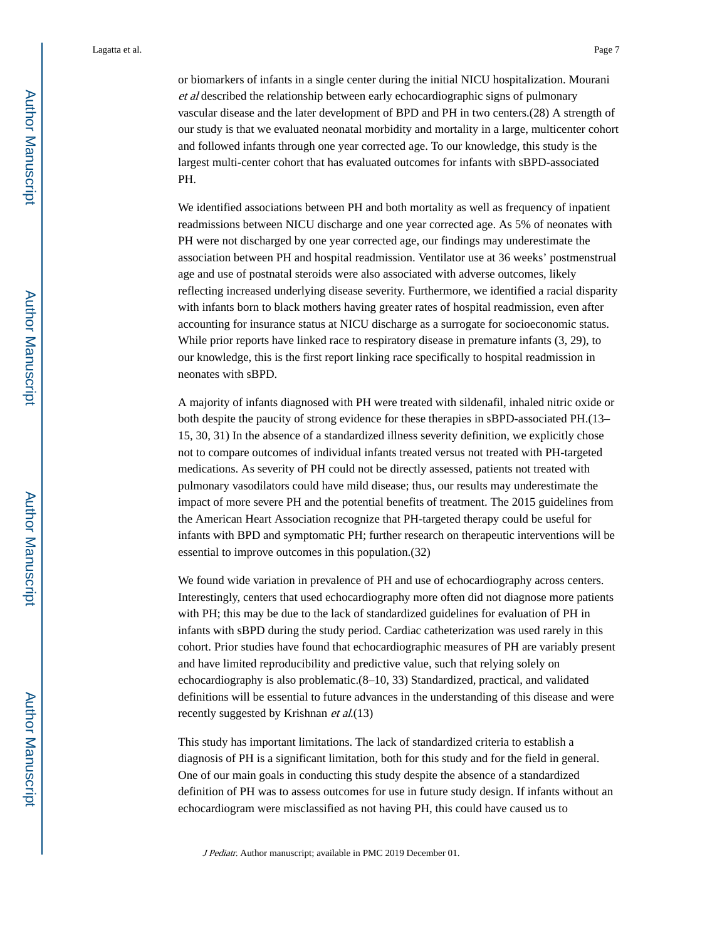or biomarkers of infants in a single center during the initial NICU hospitalization. Mourani et al described the relationship between early echocardiographic signs of pulmonary vascular disease and the later development of BPD and PH in two centers.(28) A strength of our study is that we evaluated neonatal morbidity and mortality in a large, multicenter cohort and followed infants through one year corrected age. To our knowledge, this study is the largest multi-center cohort that has evaluated outcomes for infants with sBPD-associated PH.

We identified associations between PH and both mortality as well as frequency of inpatient readmissions between NICU discharge and one year corrected age. As 5% of neonates with PH were not discharged by one year corrected age, our findings may underestimate the association between PH and hospital readmission. Ventilator use at 36 weeks' postmenstrual age and use of postnatal steroids were also associated with adverse outcomes, likely reflecting increased underlying disease severity. Furthermore, we identified a racial disparity with infants born to black mothers having greater rates of hospital readmission, even after accounting for insurance status at NICU discharge as a surrogate for socioeconomic status. While prior reports have linked race to respiratory disease in premature infants (3, 29), to our knowledge, this is the first report linking race specifically to hospital readmission in neonates with sBPD.

A majority of infants diagnosed with PH were treated with sildenafil, inhaled nitric oxide or both despite the paucity of strong evidence for these therapies in sBPD-associated PH.(13– 15, 30, 31) In the absence of a standardized illness severity definition, we explicitly chose not to compare outcomes of individual infants treated versus not treated with PH-targeted medications. As severity of PH could not be directly assessed, patients not treated with pulmonary vasodilators could have mild disease; thus, our results may underestimate the impact of more severe PH and the potential benefits of treatment. The 2015 guidelines from the American Heart Association recognize that PH-targeted therapy could be useful for infants with BPD and symptomatic PH; further research on therapeutic interventions will be essential to improve outcomes in this population.(32)

We found wide variation in prevalence of PH and use of echocardiography across centers. Interestingly, centers that used echocardiography more often did not diagnose more patients with PH; this may be due to the lack of standardized guidelines for evaluation of PH in infants with sBPD during the study period. Cardiac catheterization was used rarely in this cohort. Prior studies have found that echocardiographic measures of PH are variably present and have limited reproducibility and predictive value, such that relying solely on echocardiography is also problematic.(8–10, 33) Standardized, practical, and validated definitions will be essential to future advances in the understanding of this disease and were recently suggested by Krishnan *et al.*(13)

This study has important limitations. The lack of standardized criteria to establish a diagnosis of PH is a significant limitation, both for this study and for the field in general. One of our main goals in conducting this study despite the absence of a standardized definition of PH was to assess outcomes for use in future study design. If infants without an echocardiogram were misclassified as not having PH, this could have caused us to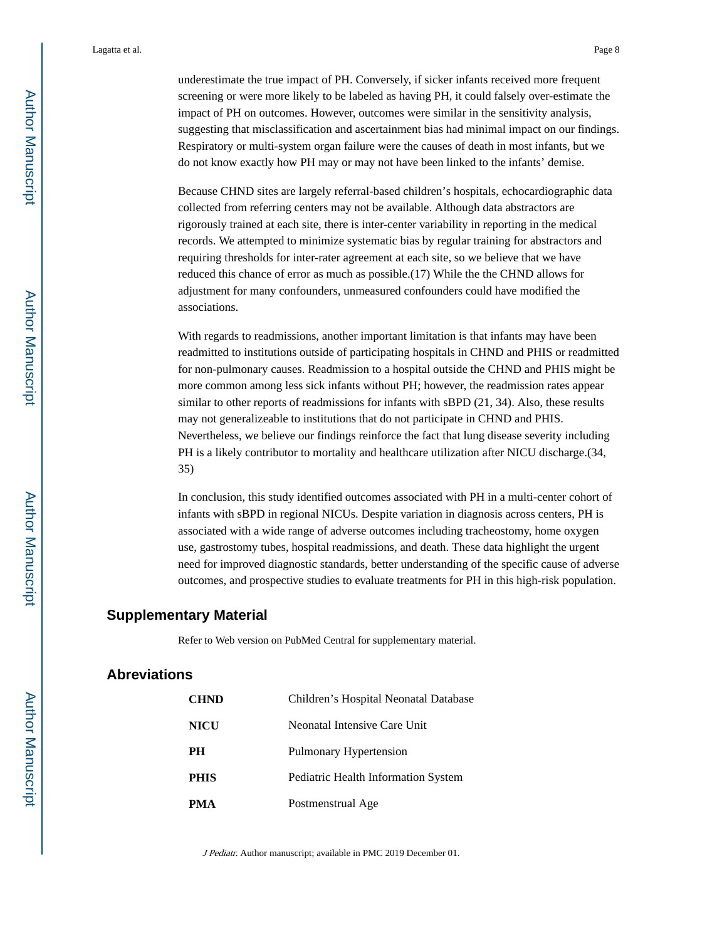underestimate the true impact of PH. Conversely, if sicker infants received more frequent screening or were more likely to be labeled as having PH, it could falsely over-estimate the impact of PH on outcomes. However, outcomes were similar in the sensitivity analysis, suggesting that misclassification and ascertainment bias had minimal impact on our findings. Respiratory or multi-system organ failure were the causes of death in most infants, but we do not know exactly how PH may or may not have been linked to the infants' demise.

Because CHND sites are largely referral-based children's hospitals, echocardiographic data collected from referring centers may not be available. Although data abstractors are rigorously trained at each site, there is inter-center variability in reporting in the medical records. We attempted to minimize systematic bias by regular training for abstractors and requiring thresholds for inter-rater agreement at each site, so we believe that we have reduced this chance of error as much as possible.(17) While the the CHND allows for adjustment for many confounders, unmeasured confounders could have modified the associations.

With regards to readmissions, another important limitation is that infants may have been readmitted to institutions outside of participating hospitals in CHND and PHIS or readmitted for non-pulmonary causes. Readmission to a hospital outside the CHND and PHIS might be more common among less sick infants without PH; however, the readmission rates appear similar to other reports of readmissions for infants with sBPD (21, 34). Also, these results may not generalizeable to institutions that do not participate in CHND and PHIS. Nevertheless, we believe our findings reinforce the fact that lung disease severity including PH is a likely contributor to mortality and healthcare utilization after NICU discharge.(34, 35)

In conclusion, this study identified outcomes associated with PH in a multi-center cohort of infants with sBPD in regional NICUs. Despite variation in diagnosis across centers, PH is associated with a wide range of adverse outcomes including tracheostomy, home oxygen use, gastrostomy tubes, hospital readmissions, and death. These data highlight the urgent need for improved diagnostic standards, better understanding of the specific cause of adverse outcomes, and prospective studies to evaluate treatments for PH in this high-risk population.

### **Supplementary Material**

Refer to Web version on PubMed Central for supplementary material.

### **Abreviations**

| <b>CHND</b> | Children's Hospital Neonatal Database |
|-------------|---------------------------------------|
| NICU        | Neonatal Intensive Care Unit          |
| PН          | Pulmonary Hypertension                |
| PHIS        | Pediatric Health Information System   |
| PMA         | Postmenstrual Age                     |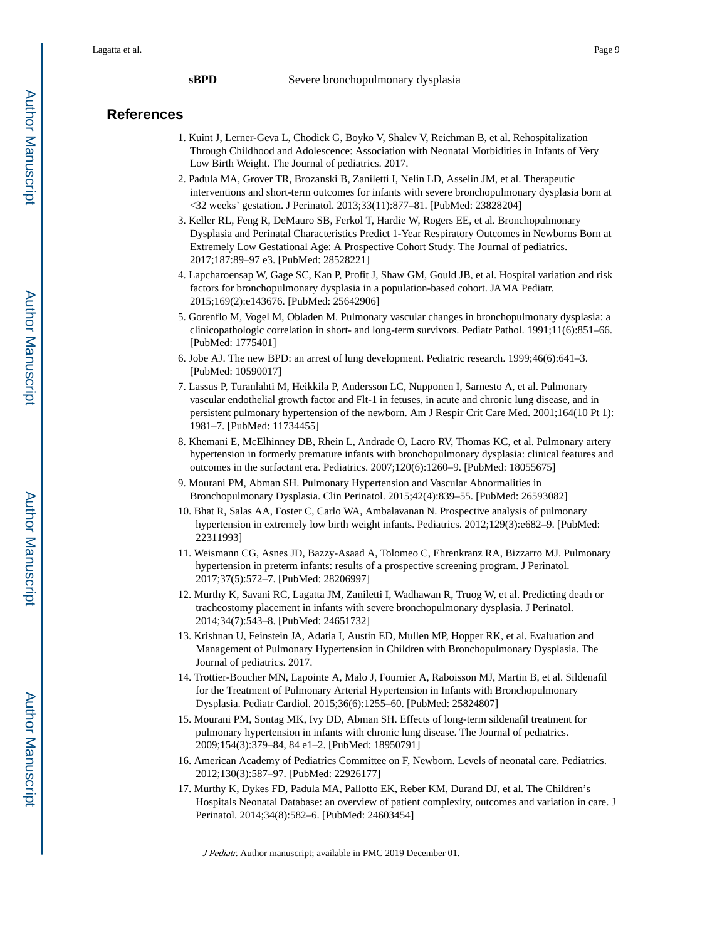## **References**

- 1. Kuint J, Lerner-Geva L, Chodick G, Boyko V, Shalev V, Reichman B, et al. Rehospitalization Through Childhood and Adolescence: Association with Neonatal Morbidities in Infants of Very Low Birth Weight. The Journal of pediatrics. 2017.
- 2. Padula MA, Grover TR, Brozanski B, Zaniletti I, Nelin LD, Asselin JM, et al. Therapeutic interventions and short-term outcomes for infants with severe bronchopulmonary dysplasia born at <32 weeks' gestation. J Perinatol. 2013;33(11):877–81. [PubMed: 23828204]
- 3. Keller RL, Feng R, DeMauro SB, Ferkol T, Hardie W, Rogers EE, et al. Bronchopulmonary Dysplasia and Perinatal Characteristics Predict 1-Year Respiratory Outcomes in Newborns Born at Extremely Low Gestational Age: A Prospective Cohort Study. The Journal of pediatrics. 2017;187:89–97 e3. [PubMed: 28528221]
- 4. Lapcharoensap W, Gage SC, Kan P, Profit J, Shaw GM, Gould JB, et al. Hospital variation and risk factors for bronchopulmonary dysplasia in a population-based cohort. JAMA Pediatr. 2015;169(2):e143676. [PubMed: 25642906]
- 5. Gorenflo M, Vogel M, Obladen M. Pulmonary vascular changes in bronchopulmonary dysplasia: a clinicopathologic correlation in short- and long-term survivors. Pediatr Pathol. 1991;11(6):851–66. [PubMed: 1775401]
- 6. Jobe AJ. The new BPD: an arrest of lung development. Pediatric research. 1999;46(6):641–3. [PubMed: 10590017]
- 7. Lassus P, Turanlahti M, Heikkila P, Andersson LC, Nupponen I, Sarnesto A, et al. Pulmonary vascular endothelial growth factor and Flt-1 in fetuses, in acute and chronic lung disease, and in persistent pulmonary hypertension of the newborn. Am J Respir Crit Care Med. 2001;164(10 Pt 1): 1981–7. [PubMed: 11734455]
- 8. Khemani E, McElhinney DB, Rhein L, Andrade O, Lacro RV, Thomas KC, et al. Pulmonary artery hypertension in formerly premature infants with bronchopulmonary dysplasia: clinical features and outcomes in the surfactant era. Pediatrics. 2007;120(6):1260–9. [PubMed: 18055675]
- 9. Mourani PM, Abman SH. Pulmonary Hypertension and Vascular Abnormalities in Bronchopulmonary Dysplasia. Clin Perinatol. 2015;42(4):839–55. [PubMed: 26593082]
- 10. Bhat R, Salas AA, Foster C, Carlo WA, Ambalavanan N. Prospective analysis of pulmonary hypertension in extremely low birth weight infants. Pediatrics. 2012;129(3):e682–9. [PubMed: 22311993]
- 11. Weismann CG, Asnes JD, Bazzy-Asaad A, Tolomeo C, Ehrenkranz RA, Bizzarro MJ. Pulmonary hypertension in preterm infants: results of a prospective screening program. J Perinatol. 2017;37(5):572–7. [PubMed: 28206997]
- 12. Murthy K, Savani RC, Lagatta JM, Zaniletti I, Wadhawan R, Truog W, et al. Predicting death or tracheostomy placement in infants with severe bronchopulmonary dysplasia. J Perinatol. 2014;34(7):543–8. [PubMed: 24651732]
- 13. Krishnan U, Feinstein JA, Adatia I, Austin ED, Mullen MP, Hopper RK, et al. Evaluation and Management of Pulmonary Hypertension in Children with Bronchopulmonary Dysplasia. The Journal of pediatrics. 2017.
- 14. Trottier-Boucher MN, Lapointe A, Malo J, Fournier A, Raboisson MJ, Martin B, et al. Sildenafil for the Treatment of Pulmonary Arterial Hypertension in Infants with Bronchopulmonary Dysplasia. Pediatr Cardiol. 2015;36(6):1255–60. [PubMed: 25824807]
- 15. Mourani PM, Sontag MK, Ivy DD, Abman SH. Effects of long-term sildenafil treatment for pulmonary hypertension in infants with chronic lung disease. The Journal of pediatrics. 2009;154(3):379–84, 84 e1–2. [PubMed: 18950791]
- 16. American Academy of Pediatrics Committee on F, Newborn. Levels of neonatal care. Pediatrics. 2012;130(3):587–97. [PubMed: 22926177]
- 17. Murthy K, Dykes FD, Padula MA, Pallotto EK, Reber KM, Durand DJ, et al. The Children's Hospitals Neonatal Database: an overview of patient complexity, outcomes and variation in care. J Perinatol. 2014;34(8):582–6. [PubMed: 24603454]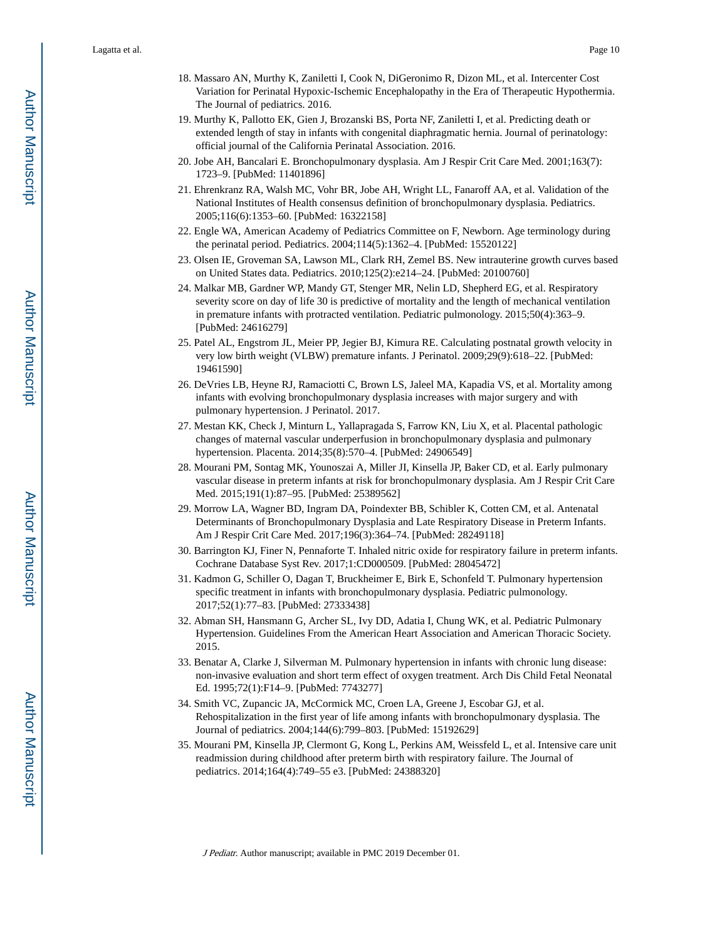- 18. Massaro AN, Murthy K, Zaniletti I, Cook N, DiGeronimo R, Dizon ML, et al. Intercenter Cost Variation for Perinatal Hypoxic-Ischemic Encephalopathy in the Era of Therapeutic Hypothermia. The Journal of pediatrics. 2016.
- 19. Murthy K, Pallotto EK, Gien J, Brozanski BS, Porta NF, Zaniletti I, et al. Predicting death or extended length of stay in infants with congenital diaphragmatic hernia. Journal of perinatology: official journal of the California Perinatal Association. 2016.
- 20. Jobe AH, Bancalari E. Bronchopulmonary dysplasia. Am J Respir Crit Care Med. 2001;163(7): 1723–9. [PubMed: 11401896]
- 21. Ehrenkranz RA, Walsh MC, Vohr BR, Jobe AH, Wright LL, Fanaroff AA, et al. Validation of the National Institutes of Health consensus definition of bronchopulmonary dysplasia. Pediatrics. 2005;116(6):1353–60. [PubMed: 16322158]
- 22. Engle WA, American Academy of Pediatrics Committee on F, Newborn. Age terminology during the perinatal period. Pediatrics. 2004;114(5):1362–4. [PubMed: 15520122]
- 23. Olsen IE, Groveman SA, Lawson ML, Clark RH, Zemel BS. New intrauterine growth curves based on United States data. Pediatrics. 2010;125(2):e214–24. [PubMed: 20100760]
- 24. Malkar MB, Gardner WP, Mandy GT, Stenger MR, Nelin LD, Shepherd EG, et al. Respiratory severity score on day of life 30 is predictive of mortality and the length of mechanical ventilation in premature infants with protracted ventilation. Pediatric pulmonology. 2015;50(4):363–9. [PubMed: 24616279]
- 25. Patel AL, Engstrom JL, Meier PP, Jegier BJ, Kimura RE. Calculating postnatal growth velocity in very low birth weight (VLBW) premature infants. J Perinatol. 2009;29(9):618–22. [PubMed: 19461590]
- 26. DeVries LB, Heyne RJ, Ramaciotti C, Brown LS, Jaleel MA, Kapadia VS, et al. Mortality among infants with evolving bronchopulmonary dysplasia increases with major surgery and with pulmonary hypertension. J Perinatol. 2017.
- 27. Mestan KK, Check J, Minturn L, Yallapragada S, Farrow KN, Liu X, et al. Placental pathologic changes of maternal vascular underperfusion in bronchopulmonary dysplasia and pulmonary hypertension. Placenta. 2014;35(8):570–4. [PubMed: 24906549]
- 28. Mourani PM, Sontag MK, Younoszai A, Miller JI, Kinsella JP, Baker CD, et al. Early pulmonary vascular disease in preterm infants at risk for bronchopulmonary dysplasia. Am J Respir Crit Care Med. 2015;191(1):87–95. [PubMed: 25389562]
- 29. Morrow LA, Wagner BD, Ingram DA, Poindexter BB, Schibler K, Cotten CM, et al. Antenatal Determinants of Bronchopulmonary Dysplasia and Late Respiratory Disease in Preterm Infants. Am J Respir Crit Care Med. 2017;196(3):364–74. [PubMed: 28249118]
- 30. Barrington KJ, Finer N, Pennaforte T. Inhaled nitric oxide for respiratory failure in preterm infants. Cochrane Database Syst Rev. 2017;1:CD000509. [PubMed: 28045472]
- 31. Kadmon G, Schiller O, Dagan T, Bruckheimer E, Birk E, Schonfeld T. Pulmonary hypertension specific treatment in infants with bronchopulmonary dysplasia. Pediatric pulmonology. 2017;52(1):77–83. [PubMed: 27333438]
- 32. Abman SH, Hansmann G, Archer SL, Ivy DD, Adatia I, Chung WK, et al. Pediatric Pulmonary Hypertension. Guidelines From the American Heart Association and American Thoracic Society. 2015.
- 33. Benatar A, Clarke J, Silverman M. Pulmonary hypertension in infants with chronic lung disease: non-invasive evaluation and short term effect of oxygen treatment. Arch Dis Child Fetal Neonatal Ed. 1995;72(1):F14–9. [PubMed: 7743277]
- 34. Smith VC, Zupancic JA, McCormick MC, Croen LA, Greene J, Escobar GJ, et al. Rehospitalization in the first year of life among infants with bronchopulmonary dysplasia. The Journal of pediatrics. 2004;144(6):799–803. [PubMed: 15192629]
- 35. Mourani PM, Kinsella JP, Clermont G, Kong L, Perkins AM, Weissfeld L, et al. Intensive care unit readmission during childhood after preterm birth with respiratory failure. The Journal of pediatrics. 2014;164(4):749–55 e3. [PubMed: 24388320]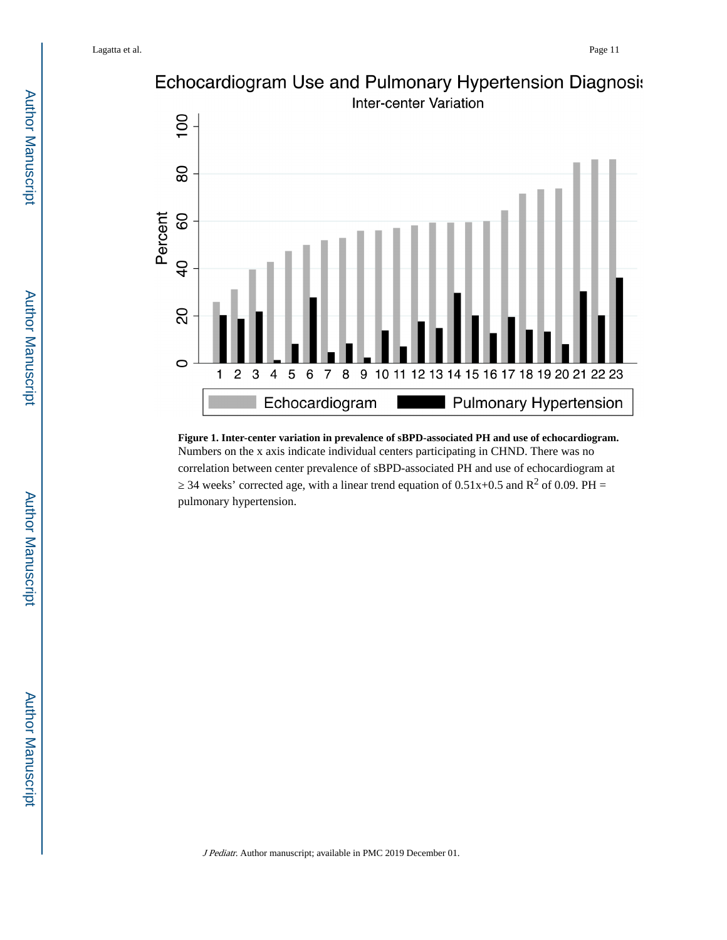

**Figure 1. Inter-center variation in prevalence of sBPD-associated PH and use of echocardiogram.** Numbers on the x axis indicate individual centers participating in CHND. There was no correlation between center prevalence of sBPD-associated PH and use of echocardiogram at

34 weeks' corrected age, with a linear trend equation of  $0.51x+0.5$  and  $R^2$  of 0.09. PH = pulmonary hypertension.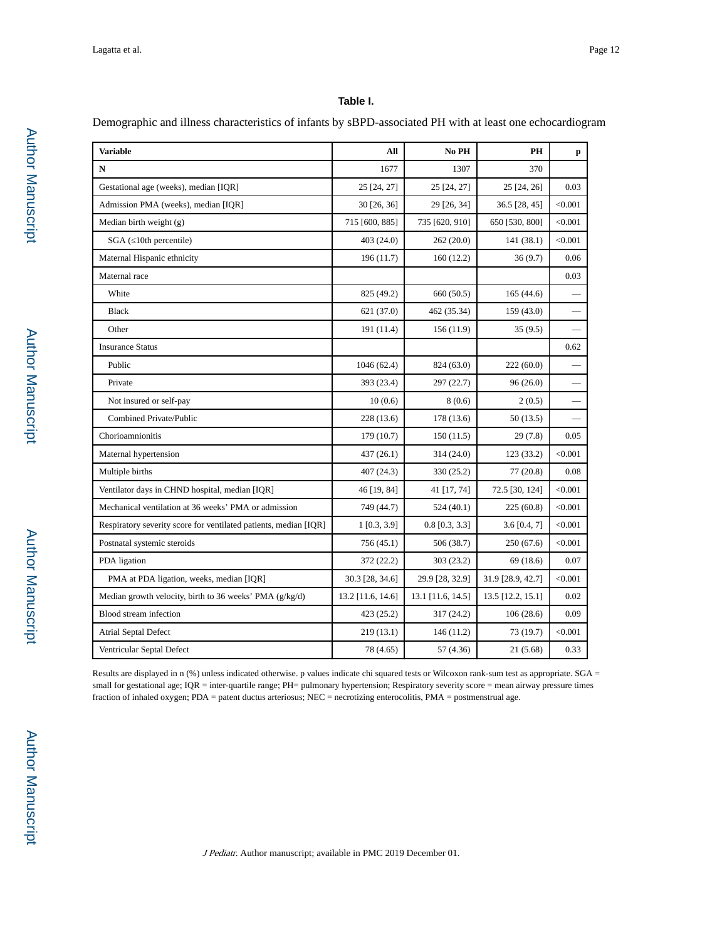### **Table I.**

Demographic and illness characteristics of infants by sBPD-associated PH with at least one echocardiogram

| <b>Variable</b>                                                  | All               | No PH             | <b>PH</b>         | p       |
|------------------------------------------------------------------|-------------------|-------------------|-------------------|---------|
| $\mathbf N$                                                      | 1677              | 1307              | 370               |         |
| Gestational age (weeks), median [IQR]                            | 25 [24, 27]       | 25 [24, 27]       | 25 [24, 26]       | 0.03    |
| Admission PMA (weeks), median [IQR]                              | 30 [26, 36]       | 29 [26, 34]       | 36.5 [28, 45]     | < 0.001 |
| Median birth weight $(g)$                                        | 715 [600, 885]    | 735 [620, 910]    | 650 [530, 800]    | < 0.001 |
| SGA (10th percentile)                                            | 403(24.0)         | 262 (20.0)        | 141(38.1)         | < 0.001 |
| Maternal Hispanic ethnicity                                      | 196 (11.7)        | 160(12.2)         | 36(9.7)           | 0.06    |
| Maternal race                                                    |                   |                   |                   | 0.03    |
| White                                                            | 825 (49.2)        | 660 (50.5)        | 165 (44.6)        |         |
| <b>Black</b>                                                     | 621 (37.0)        | 462 (35.34)       | 159(43.0)         |         |
| Other                                                            | 191 (11.4)        | 156 (11.9)        | 35(9.5)           |         |
| <b>Insurance Status</b>                                          |                   |                   |                   | 0.62    |
| Public                                                           | 1046 (62.4)       | 824 (63.0)        | 222(60.0)         |         |
| Private                                                          | 393 (23.4)        | 297 (22.7)        | 96(26.0)          |         |
| Not insured or self-pay                                          | 10(0.6)           | 8(0.6)            | 2(0.5)            |         |
| Combined Private/Public                                          | 228(13.6)         | 178 (13.6)        | 50 (13.5)         |         |
| Chorioamnionitis                                                 | 179(10.7)         | 150(11.5)         | 29(7.8)           | 0.05    |
| Maternal hypertension                                            | 437(26.1)         | 314 (24.0)        | 123 (33.2)        | < 0.001 |
| Multiple births                                                  | 407(24.3)         | 330 (25.2)        | 77(20.8)          | 0.08    |
| Ventilator days in CHND hospital, median [IQR]                   | 46 [19, 84]       | 41 [17, 74]       | 72.5 [30, 124]    | < 0.001 |
| Mechanical ventilation at 36 weeks' PMA or admission             | 749 (44.7)        | 524 (40.1)        | 225 (60.8)        | < 0.001 |
| Respiratory severity score for ventilated patients, median [IQR] | 1 [0.3, 3.9]      | $0.8$ [0.3, 3.3]  | 3.6 [0.4, 7]      | < 0.001 |
| Postnatal systemic steroids                                      | 756 (45.1)        | 506 (38.7)        | 250(67.6)         | < 0.001 |
| PDA ligation                                                     | 372 (22.2)        | 303 (23.2)        | 69(18.6)          | 0.07    |
| PMA at PDA ligation, weeks, median [IQR]                         | 30.3 [28, 34.6]   | 29.9 [28, 32.9]   | 31.9 [28.9, 42.7] | < 0.001 |
| Median growth velocity, birth to 36 weeks' PMA (g/kg/d)          | 13.2 [11.6, 14.6] | 13.1 [11.6, 14.5] | 13.5 [12.2, 15.1] | 0.02    |
| Blood stream infection                                           | 423 (25.2)        | 317 (24.2)        | 106(28.6)         | 0.09    |
| Atrial Septal Defect                                             | 219(13.1)         | 146(11.2)         | 73 (19.7)         | < 0.001 |
| Ventricular Septal Defect                                        | 78 (4.65)         | 57 (4.36)         | 21(5.68)          | 0.33    |

Results are displayed in n (%) unless indicated otherwise. p values indicate chi squared tests or Wilcoxon rank-sum test as appropriate. SGA = small for gestational age; IQR = inter-quartile range; PH= pulmonary hypertension; Respiratory severity score = mean airway pressure times fraction of inhaled oxygen; PDA = patent ductus arteriosus; NEC = necrotizing enterocolitis, PMA = postmenstrual age.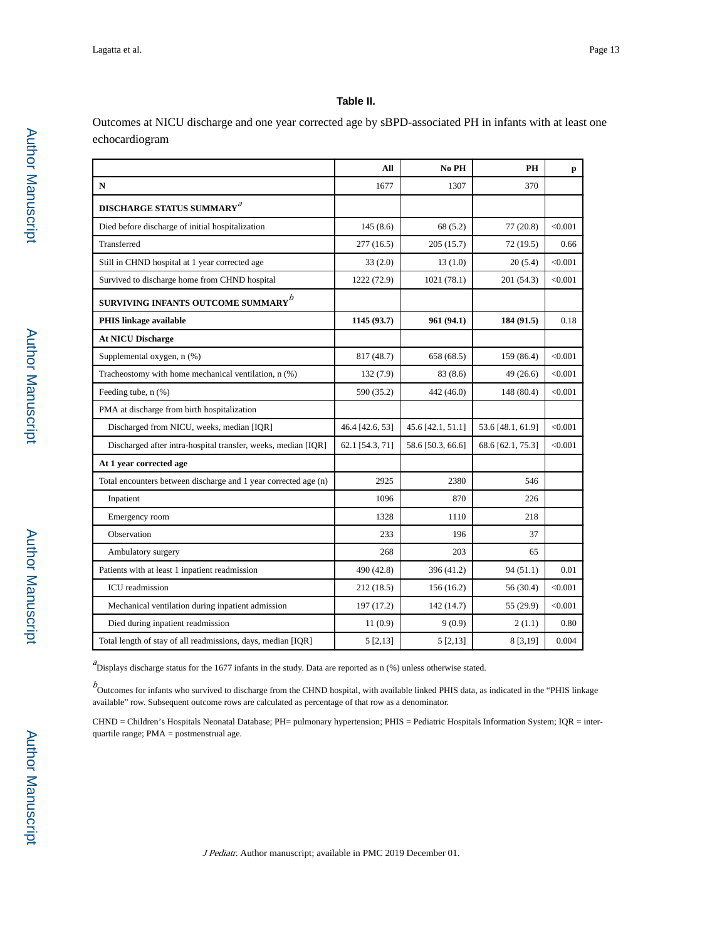#### **Table II.**

Outcomes at NICU discharge and one year corrected age by sBPD-associated PH in infants with at least one echocardiogram

|                                                                 | All             | No PH             | PH                | p       |
|-----------------------------------------------------------------|-----------------|-------------------|-------------------|---------|
| ${\bf N}$                                                       | 1677            | 1307              | 370               |         |
| <b>DISCHARGE STATUS SUMMARY</b> <sup>a</sup>                    |                 |                   |                   |         |
| Died before discharge of initial hospitalization                | 145(8.6)        | 68(5.2)           | 77 (20.8)         | < 0.001 |
| Transferred                                                     | 277(16.5)       | 205(15.7)         | 72(19.5)          | 0.66    |
| Still in CHND hospital at 1 year corrected age                  | 33(2.0)         | 13(1.0)           | 20(5.4)           | < 0.001 |
| Survived to discharge home from CHND hospital                   | 1222 (72.9)     | 1021 (78.1)       | 201 (54.3)        | < 0.001 |
| SURVIVING INFANTS OUTCOME SUMMARY $^b$                          |                 |                   |                   |         |
| <b>PHIS linkage available</b>                                   | 1145 (93.7)     | 961 (94.1)        | 184 (91.5)        | 0.18    |
| <b>At NICU Discharge</b>                                        |                 |                   |                   |         |
| Supplemental oxygen, n (%)                                      | 817 (48.7)      | 658 (68.5)        | 159 (86.4)        | < 0.001 |
| Tracheostomy with home mechanical ventilation, n (%)            | 132(7.9)        | 83 (8.6)          | 49 (26.6)         | < 0.001 |
| Feeding tube, n (%)                                             | 590 (35.2)      | 442 (46.0)        | 148 (80.4)        | < 0.001 |
| PMA at discharge from birth hospitalization                     |                 |                   |                   |         |
| Discharged from NICU, weeks, median [IQR]                       | 46.4 [42.6, 53] | 45.6 [42.1, 51.1] | 53.6 [48.1, 61.9] | < 0.001 |
| Discharged after intra-hospital transfer, weeks, median [IQR]   | 62.1 [54.3, 71] | 58.6 [50.3, 66.6] | 68.6 [62.1, 75.3] | < 0.001 |
| At 1 year corrected age                                         |                 |                   |                   |         |
| Total encounters between discharge and 1 year corrected age (n) | 2925            | 2380              | 546               |         |
| Inpatient                                                       | 1096            | 870               | 226               |         |
| Emergency room                                                  | 1328            | 1110              | 218               |         |
| Observation                                                     | 233             | 196               | 37                |         |
| Ambulatory surgery                                              | 268             | 203               | 65                |         |
| Patients with at least 1 inpatient readmission                  | 490 (42.8)      | 396 (41.2)        | 94(51.1)          | 0.01    |
| ICU readmission                                                 | 212(18.5)       | 156(16.2)         | 56 (30.4)         | < 0.001 |
| Mechanical ventilation during inpatient admission               | 197 (17.2)      | 142 (14.7)        | 55 (29.9)         | < 0.001 |
| Died during inpatient readmission                               | 11(0.9)         | 9(0.9)            | 2(1.1)            | 0.80    |
| Total length of stay of all readmissions, days, median [IQR]    | 5 [2, 13]       | 5 [2, 13]         | 8 [3,19]          | 0.004   |

 ${}^{a}$ Displays discharge status for the 1677 infants in the study. Data are reported as n  $(\% )$  unless otherwise stated.

 $b$ <br>Outcomes for infants who survived to discharge from the CHND hospital, with available linked PHIS data, as indicated in the "PHIS linkage available" row. Subsequent outcome rows are calculated as percentage of that row as a denominator.

CHND = Children's Hospitals Neonatal Database; PH= pulmonary hypertension; PHIS = Pediatric Hospitals Information System; IQR = interquartile range; PMA = postmenstrual age.